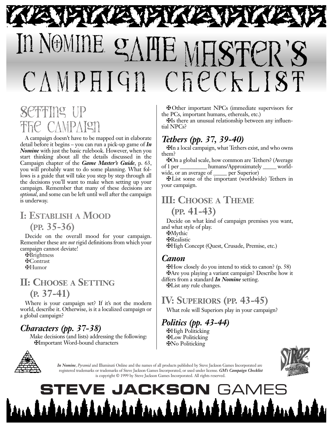# In NOMINE **WE MESTER'** campAIGn checKLiSt

# Setting **Up THE CAMPAIGN**

A campaign doesn't have to be mapped out in elaborate detail before it begins – you can run a pick-up game of *In Nomine* with just the basic rulebook. However, when you start thinking about all the details discussed in the Campaign chapter of the *Game Master's Guide*, p. 63, you will probably want to do some planning. What follows is a guide that will take you step by step through all the decisions you'll want to make when setting up your campaign. Remember that many of these decisions are *optional*, and some can be left until well after the campaign is underway.

# **I: ESTABLISH A MOOD (PP. 35-36)**

Decide on the overall mood for your campaign. Remember these are *not* rigid definitions from which your campaign cannot deviate!

- ✠ Brightness
- ✠ Contrast
- ✠ Humor

# **II: CHOOSE A SETTING**

**(P. 37-41)**

Where is your campaign set? If it's not the modern world, describe it. Otherwise, is it a localized campaign or a global campaign?

## *Characters (pp. 37-38)*

Make decisions (and lists) addressing the following: ✠ Important Word-bound characters



✠ Other important NPCs (immediate supervisors for the PCs, important humans, ethereals, etc.)

✠ Is there an unusual relationship between any influential NPCs?

#### *Tethers (pp. 37, 39-40)*

✠ In a local campaign, what Tethers exist, and who owns them?

✠ On a global scale, how common are Tethers? (Average of 1 per \_\_\_\_\_\_\_\_\_\_ humans/Approximately \_\_\_\_\_ worldwide, or an average of <u>equal</u> per Superior.

✠ List some of the important (worldwide) Tethers in your campaign.

## **III: CHOOSE A THEME (PP. 41-43)**

Decide on what kind of campaign premises you want, and what style of play.

- ✠ Mythic
- ✠ Realistic
- ✠ High Concept (Quest, Crusade, Premise, etc.)

#### *Canon*

✠ How closely do you intend to stick to canon? (p. 58) ✠ Are you playing a variant campaign? Describe how it differs from a standard *In Nomine* setting. ✠ List any rule changes.

# **IV: SUPERIORS (PP. 43-45)**

What role will Superiors play in your campaign?

## *Politics (pp. 43-44)*

✠ High Politicking ✠ Low Politicking ✠ No Politicking



*In Nomine*, *Pyramid* and Illuminati Online and the names of all products published by Steve Jackson Games Incorporated are registered trademarks or trademarks of Steve Jackson Games Incorporated, or used under license. *GM's Campaign Checklist* is copyright © 1999 by Steve Jackson Games Incorporated. All rights reserved.